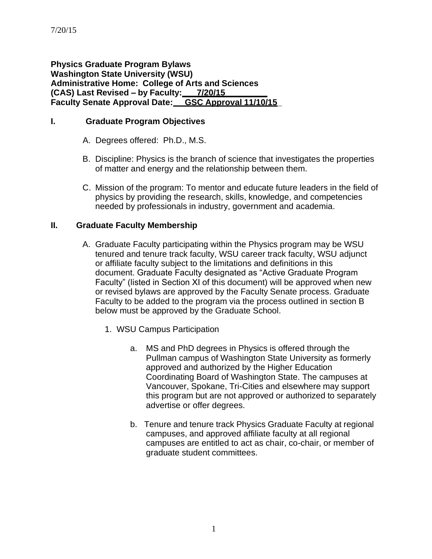**Physics Graduate Program Bylaws Washington State University (WSU) Administrative Home: College of Arts and Sciences (CAS) Last Revised – by Faculty: 7/20/15 Faculty Senate Approval Date: GSC Approval 11/10/15\_**

### **I. Graduate Program Objectives**

- A. Degrees offered: Ph.D., M.S.
- B. Discipline: Physics is the branch of science that investigates the properties of matter and energy and the relationship between them.
- C. Mission of the program: To mentor and educate future leaders in the field of physics by providing the research, skills, knowledge, and competencies needed by professionals in industry, government and academia.

### **II. Graduate Faculty Membership**

- A. Graduate Faculty participating within the Physics program may be WSU tenured and tenure track faculty, WSU career track faculty, WSU adjunct or affiliate faculty subject to the limitations and definitions in this document. Graduate Faculty designated as "Active Graduate Program Faculty" (listed in Section XI of this document) will be approved when new or revised bylaws are approved by the Faculty Senate process. Graduate Faculty to be added to the program via the process outlined in section B below must be approved by the Graduate School.
	- 1. WSU Campus Participation
		- a. MS and PhD degrees in Physics is offered through the Pullman campus of Washington State University as formerly approved and authorized by the Higher Education Coordinating Board of Washington State. The campuses at Vancouver, Spokane, Tri-Cities and elsewhere may support this program but are not approved or authorized to separately advertise or offer degrees.
		- b. Tenure and tenure track Physics Graduate Faculty at regional campuses, and approved affiliate faculty at all regional campuses are entitled to act as chair, co-chair, or member of graduate student committees.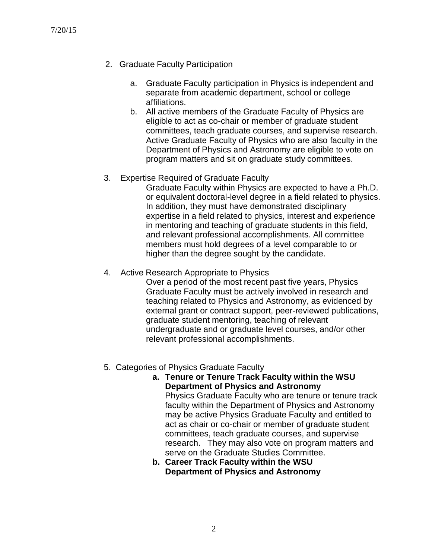- 2. Graduate Faculty Participation
	- a. Graduate Faculty participation in Physics is independent and separate from academic department, school or college affiliations.
	- b. All active members of the Graduate Faculty of Physics are eligible to act as co-chair or member of graduate student committees, teach graduate courses, and supervise research. Active Graduate Faculty of Physics who are also faculty in the Department of Physics and Astronomy are eligible to vote on program matters and sit on graduate study committees.
- 3. Expertise Required of Graduate Faculty

Graduate Faculty within Physics are expected to have a Ph.D. or equivalent doctoral-level degree in a field related to physics. In addition, they must have demonstrated disciplinary expertise in a field related to physics, interest and experience in mentoring and teaching of graduate students in this field, and relevant professional accomplishments. All committee members must hold degrees of a level comparable to or higher than the degree sought by the candidate.

4. Active Research Appropriate to Physics

Over a period of the most recent past five years, Physics Graduate Faculty must be actively involved in research and teaching related to Physics and Astronomy, as evidenced by external grant or contract support, peer-reviewed publications, graduate student mentoring, teaching of relevant undergraduate and or graduate level courses, and/or other relevant professional accomplishments.

- 5. Categories of Physics Graduate Faculty
	- **a. Tenure or Tenure Track Faculty within the WSU Department of Physics and Astronomy** Physics Graduate Faculty who are tenure or tenure track faculty within the Department of Physics and Astronomy may be active Physics Graduate Faculty and entitled to act as chair or co-chair or member of graduate student committees, teach graduate courses, and supervise research. They may also vote on program matters and serve on the Graduate Studies Committee.
	- **b. Career Track Faculty within the WSU Department of Physics and Astronomy**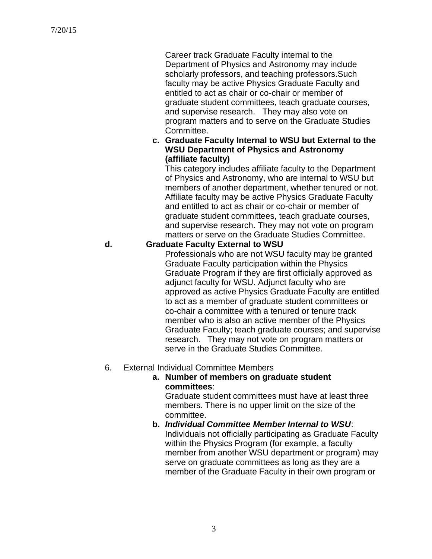Career track Graduate Faculty internal to the Department of Physics and Astronomy may include scholarly professors, and teaching professors.Such faculty may be active Physics Graduate Faculty and entitled to act as chair or co-chair or member of graduate student committees, teach graduate courses, and supervise research. They may also vote on program matters and to serve on the Graduate Studies Committee.

**c. Graduate Faculty Internal to WSU but External to the WSU Department of Physics and Astronomy (affiliate faculty)**

This category includes affiliate faculty to the Department of Physics and Astronomy, who are internal to WSU but members of another department, whether tenured or not. Affiliate faculty may be active Physics Graduate Faculty and entitled to act as chair or co-chair or member of graduate student committees, teach graduate courses, and supervise research. They may not vote on program matters or serve on the Graduate Studies Committee.

### **d. Graduate Faculty External to WSU**

Professionals who are not WSU faculty may be granted Graduate Faculty participation within the Physics Graduate Program if they are first officially approved as adjunct faculty for WSU. Adjunct faculty who are approved as active Physics Graduate Faculty are entitled to act as a member of graduate student committees or co-chair a committee with a tenured or tenure track member who is also an active member of the Physics Graduate Faculty; teach graduate courses; and supervise research. They may not vote on program matters or serve in the Graduate Studies Committee.

### 6. External Individual Committee Members

#### **a. Number of members on graduate student committees**:

Graduate student committees must have at least three members. There is no upper limit on the size of the committee.

**b.** *Individual Committee Member Internal to WSU*: Individuals not officially participating as Graduate Faculty within the Physics Program (for example, a faculty member from another WSU department or program) may serve on graduate committees as long as they are a member of the Graduate Faculty in their own program or

3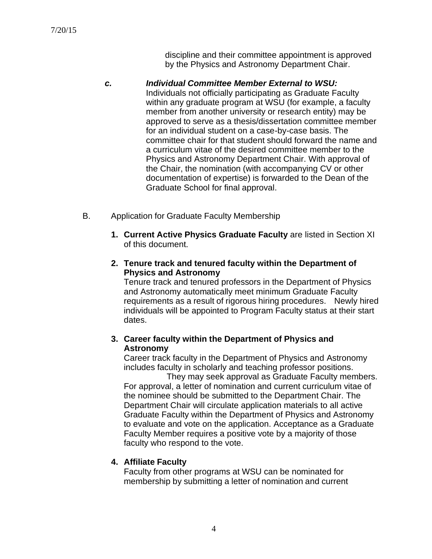discipline and their committee appointment is approved by the Physics and Astronomy Department Chair.

*c. Individual Committee Member External to WSU:* Individuals not officially participating as Graduate Faculty within any graduate program at WSU (for example, a faculty member from another university or research entity) may be approved to serve as a thesis/dissertation committee member for an individual student on a case-by-case basis. The committee chair for that student should forward the name and a curriculum vitae of the desired committee member to the Physics and Astronomy Department Chair. With approval of the Chair, the nomination (with accompanying CV or other documentation of expertise) is forwarded to the Dean of the Graduate School for final approval.

- B. Application for Graduate Faculty Membership
	- **1. Current Active Physics Graduate Faculty** are listed in Section XI of this document.
	- **2. Tenure track and tenured faculty within the Department of Physics and Astronomy**

Tenure track and tenured professors in the Department of Physics and Astronomy automatically meet minimum Graduate Faculty requirements as a result of rigorous hiring procedures. Newly hired individuals will be appointed to Program Faculty status at their start dates.

## **3. Career faculty within the Department of Physics and Astronomy**

Career track faculty in the Department of Physics and Astronomy includes faculty in scholarly and teaching professor positions.

They may seek approval as Graduate Faculty members. For approval, a letter of nomination and current curriculum vitae of the nominee should be submitted to the Department Chair. The Department Chair will circulate application materials to all active Graduate Faculty within the Department of Physics and Astronomy to evaluate and vote on the application. Acceptance as a Graduate Faculty Member requires a positive vote by a majority of those faculty who respond to the vote.

## **4. Affiliate Faculty**

Faculty from other programs at WSU can be nominated for membership by submitting a letter of nomination and current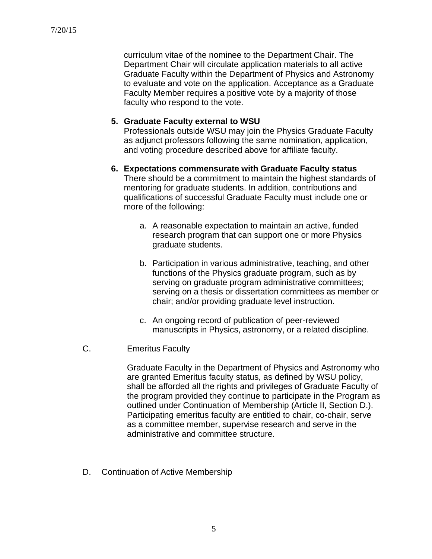curriculum vitae of the nominee to the Department Chair. The Department Chair will circulate application materials to all active Graduate Faculty within the Department of Physics and Astronomy to evaluate and vote on the application. Acceptance as a Graduate Faculty Member requires a positive vote by a majority of those faculty who respond to the vote.

### **5. Graduate Faculty external to WSU**

Professionals outside WSU may join the Physics Graduate Faculty as adjunct professors following the same nomination, application, and voting procedure described above for affiliate faculty.

- **6. Expectations commensurate with Graduate Faculty status** There should be a commitment to maintain the highest standards of mentoring for graduate students. In addition, contributions and qualifications of successful Graduate Faculty must include one or more of the following:
	- a. A reasonable expectation to maintain an active, funded research program that can support one or more Physics graduate students.
	- b. Participation in various administrative, teaching, and other functions of the Physics graduate program, such as by serving on graduate program administrative committees; serving on a thesis or dissertation committees as member or chair; and/or providing graduate level instruction.
	- c. An ongoing record of publication of peer-reviewed manuscripts in Physics, astronomy, or a related discipline.
- C. Emeritus Faculty

Graduate Faculty in the Department of Physics and Astronomy who are granted Emeritus faculty status, as defined by WSU policy, shall be afforded all the rights and privileges of Graduate Faculty of the program provided they continue to participate in the Program as outlined under Continuation of Membership (Article II, Section D.). Participating emeritus faculty are entitled to chair, co-chair, serve as a committee member, supervise research and serve in the administrative and committee structure.

D. Continuation of Active Membership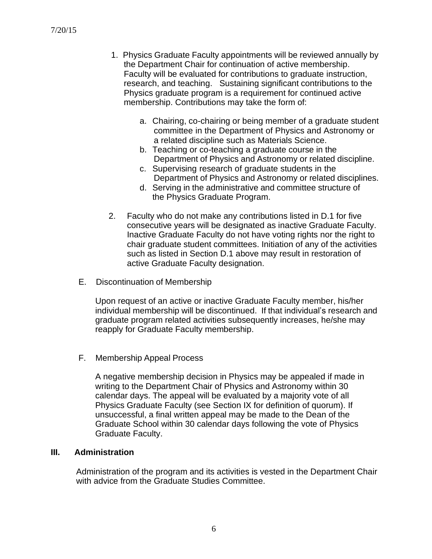- 1. Physics Graduate Faculty appointments will be reviewed annually by the Department Chair for continuation of active membership. Faculty will be evaluated for contributions to graduate instruction, research, and teaching. Sustaining significant contributions to the Physics graduate program is a requirement for continued active membership. Contributions may take the form of:
	- a. Chairing, co-chairing or being member of a graduate student committee in the Department of Physics and Astronomy or a related discipline such as Materials Science.
	- b. Teaching or co-teaching a graduate course in the Department of Physics and Astronomy or related discipline.
	- c. Supervising research of graduate students in the Department of Physics and Astronomy or related disciplines.
	- d. Serving in the administrative and committee structure of the Physics Graduate Program.
- 2. Faculty who do not make any contributions listed in D.1 for five consecutive years will be designated as inactive Graduate Faculty. Inactive Graduate Faculty do not have voting rights nor the right to chair graduate student committees. Initiation of any of the activities such as listed in Section D.1 above may result in restoration of active Graduate Faculty designation.
- E. Discontinuation of Membership

Upon request of an active or inactive Graduate Faculty member, his/her individual membership will be discontinued. If that individual's research and graduate program related activities subsequently increases, he/she may reapply for Graduate Faculty membership.

F. Membership Appeal Process

A negative membership decision in Physics may be appealed if made in writing to the Department Chair of Physics and Astronomy within 30 calendar days. The appeal will be evaluated by a majority vote of all Physics Graduate Faculty (see Section IX for definition of quorum). If unsuccessful, a final written appeal may be made to the Dean of the Graduate School within 30 calendar days following the vote of Physics Graduate Faculty.

#### **III. Administration**

Administration of the program and its activities is vested in the Department Chair with advice from the Graduate Studies Committee.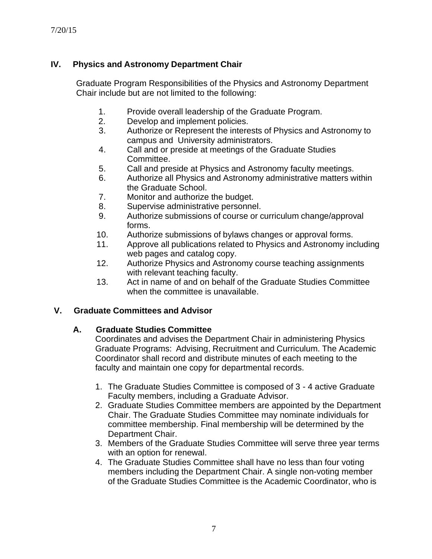# **IV. Physics and Astronomy Department Chair**

Graduate Program Responsibilities of the Physics and Astronomy Department Chair include but are not limited to the following:

- 1. Provide overall leadership of the Graduate Program.
- 2. Develop and implement policies.
- 3. Authorize or Represent the interests of Physics and Astronomy to campus and University administrators.
- 4. Call and or preside at meetings of the Graduate Studies Committee.
- 5. Call and preside at Physics and Astronomy faculty meetings.
- 6. Authorize all Physics and Astronomy administrative matters within the Graduate School.
- 7. Monitor and authorize the budget.
- 8. Supervise administrative personnel.
- 9. Authorize submissions of course or curriculum change/approval forms.
- 10. Authorize submissions of bylaws changes or approval forms.
- 11. Approve all publications related to Physics and Astronomy including web pages and catalog copy.
- 12. Authorize Physics and Astronomy course teaching assignments with relevant teaching faculty.
- 13. Act in name of and on behalf of the Graduate Studies Committee when the committee is unavailable.

## **V. Graduate Committees and Advisor**

### **A. Graduate Studies Committee**

Coordinates and advises the Department Chair in administering Physics Graduate Programs: Advising, Recruitment and Curriculum. The Academic Coordinator shall record and distribute minutes of each meeting to the faculty and maintain one copy for departmental records.

- 1. The Graduate Studies Committee is composed of 3 4 active Graduate Faculty members, including a Graduate Advisor.
- 2. Graduate Studies Committee members are appointed by the Department Chair. The Graduate Studies Committee may nominate individuals for committee membership. Final membership will be determined by the Department Chair.
- 3. Members of the Graduate Studies Committee will serve three year terms with an option for renewal.
- 4. The Graduate Studies Committee shall have no less than four voting members including the Department Chair. A single non-voting member of the Graduate Studies Committee is the Academic Coordinator, who is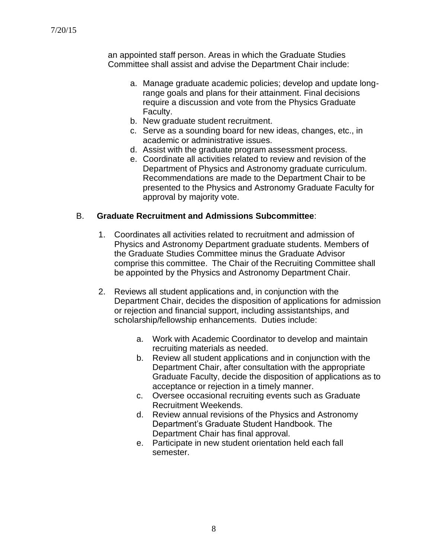an appointed staff person. Areas in which the Graduate Studies Committee shall assist and advise the Department Chair include:

- a. Manage graduate academic policies; develop and update longrange goals and plans for their attainment. Final decisions require a discussion and vote from the Physics Graduate Faculty.
- b. New graduate student recruitment.
- c. Serve as a sounding board for new ideas, changes, etc., in academic or administrative issues.
- d. Assist with the graduate program assessment process.
- e. Coordinate all activities related to review and revision of the Department of Physics and Astronomy graduate curriculum. Recommendations are made to the Department Chair to be presented to the Physics and Astronomy Graduate Faculty for approval by majority vote.

## B. **Graduate Recruitment and Admissions Subcommittee**:

- 1. Coordinates all activities related to recruitment and admission of Physics and Astronomy Department graduate students. Members of the Graduate Studies Committee minus the Graduate Advisor comprise this committee. The Chair of the Recruiting Committee shall be appointed by the Physics and Astronomy Department Chair.
- 2. Reviews all student applications and, in conjunction with the Department Chair, decides the disposition of applications for admission or rejection and financial support, including assistantships, and scholarship/fellowship enhancements. Duties include:
	- a. Work with Academic Coordinator to develop and maintain recruiting materials as needed.
	- b. Review all student applications and in conjunction with the Department Chair, after consultation with the appropriate Graduate Faculty, decide the disposition of applications as to acceptance or rejection in a timely manner.
	- c. Oversee occasional recruiting events such as Graduate Recruitment Weekends.
	- d. Review annual revisions of the Physics and Astronomy Department's Graduate Student Handbook. The Department Chair has final approval.
	- e. Participate in new student orientation held each fall semester.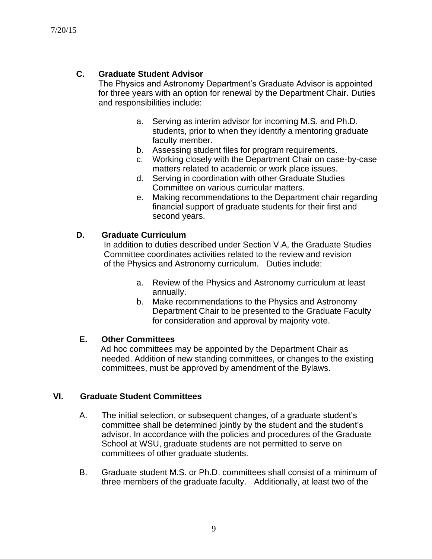## **C. Graduate Student Advisor**

The Physics and Astronomy Department's Graduate Advisor is appointed for three years with an option for renewal by the Department Chair. Duties and responsibilities include:

- a. Serving as interim advisor for incoming M.S. and Ph.D. students, prior to when they identify a mentoring graduate faculty member.
- b. Assessing student files for program requirements.
- c. Working closely with the Department Chair on case-by-case matters related to academic or work place issues.
- d. Serving in coordination with other Graduate Studies Committee on various curricular matters.
- e. Making recommendations to the Department chair regarding financial support of graduate students for their first and second years.

#### **D. Graduate Curriculum**

In addition to duties described under Section V.A, the Graduate Studies Committee coordinates activities related to the review and revision of the Physics and Astronomy curriculum. Duties include:

- a. Review of the Physics and Astronomy curriculum at least annually.
- b. Make recommendations to the Physics and Astronomy Department Chair to be presented to the Graduate Faculty for consideration and approval by majority vote.

### **E. Other Committees**

Ad hoc committees may be appointed by the Department Chair as needed. Addition of new standing committees, or changes to the existing committees, must be approved by amendment of the Bylaws.

### **VI. Graduate Student Committees**

- A. The initial selection, or subsequent changes, of a graduate student's committee shall be determined jointly by the student and the student's advisor. In accordance with the policies and procedures of the Graduate School at WSU, graduate students are not permitted to serve on committees of other graduate students.
- B. Graduate student M.S. or Ph.D. committees shall consist of a minimum of three members of the graduate faculty. Additionally, at least two of the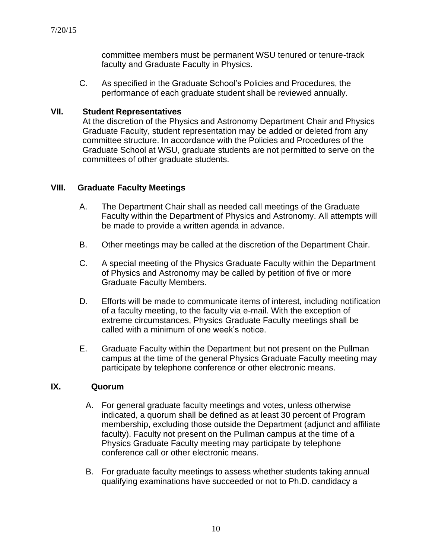committee members must be permanent WSU tenured or tenure-track faculty and Graduate Faculty in Physics.

C. As specified in the Graduate School's Policies and Procedures, the performance of each graduate student shall be reviewed annually.

#### **VII. Student Representatives**

At the discretion of the Physics and Astronomy Department Chair and Physics Graduate Faculty, student representation may be added or deleted from any committee structure. In accordance with the Policies and Procedures of the Graduate School at WSU, graduate students are not permitted to serve on the committees of other graduate students.

### **VIII. Graduate Faculty Meetings**

- A. The Department Chair shall as needed call meetings of the Graduate Faculty within the Department of Physics and Astronomy. All attempts will be made to provide a written agenda in advance.
- B. Other meetings may be called at the discretion of the Department Chair.
- C. A special meeting of the Physics Graduate Faculty within the Department of Physics and Astronomy may be called by petition of five or more Graduate Faculty Members.
- D. Efforts will be made to communicate items of interest, including notification of a faculty meeting, to the faculty via e-mail. With the exception of extreme circumstances, Physics Graduate Faculty meetings shall be called with a minimum of one week's notice.
- E. Graduate Faculty within the Department but not present on the Pullman campus at the time of the general Physics Graduate Faculty meeting may participate by telephone conference or other electronic means.

#### **IX. Quorum**

- A. For general graduate faculty meetings and votes, unless otherwise indicated, a quorum shall be defined as at least 30 percent of Program membership, excluding those outside the Department (adjunct and affiliate faculty). Faculty not present on the Pullman campus at the time of a Physics Graduate Faculty meeting may participate by telephone conference call or other electronic means.
- B. For graduate faculty meetings to assess whether students taking annual qualifying examinations have succeeded or not to Ph.D. candidacy a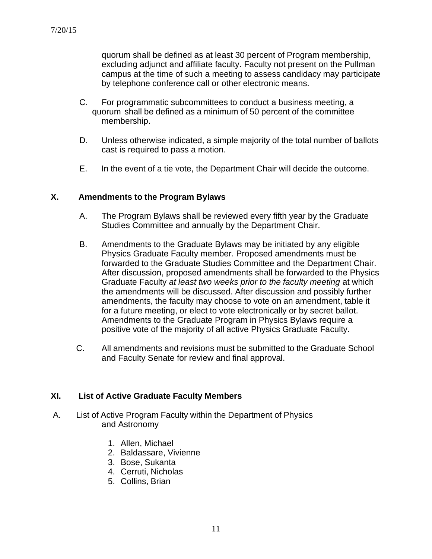quorum shall be defined as at least 30 percent of Program membership, excluding adjunct and affiliate faculty. Faculty not present on the Pullman campus at the time of such a meeting to assess candidacy may participate by telephone conference call or other electronic means.

- C. For programmatic subcommittees to conduct a business meeting, a quorum shall be defined as a minimum of 50 percent of the committee membership.
- D. Unless otherwise indicated, a simple majority of the total number of ballots cast is required to pass a motion.
- E. In the event of a tie vote, the Department Chair will decide the outcome.

### **X. Amendments to the Program Bylaws**

- A. The Program Bylaws shall be reviewed every fifth year by the Graduate Studies Committee and annually by the Department Chair.
- B. Amendments to the Graduate Bylaws may be initiated by any eligible Physics Graduate Faculty member. Proposed amendments must be forwarded to the Graduate Studies Committee and the Department Chair. After discussion, proposed amendments shall be forwarded to the Physics Graduate Faculty *at least two weeks prior to the faculty meeting* at which the amendments will be discussed. After discussion and possibly further amendments, the faculty may choose to vote on an amendment, table it for a future meeting, or elect to vote electronically or by secret ballot. Amendments to the Graduate Program in Physics Bylaws require a positive vote of the majority of all active Physics Graduate Faculty.
- C. All amendments and revisions must be submitted to the Graduate School and Faculty Senate for review and final approval.

### **XI. List of Active Graduate Faculty Members**

- A. List of Active Program Faculty within the Department of Physics and Astronomy
	- 1. Allen, Michael
	- 2. Baldassare, Vivienne
	- 3. Bose, Sukanta
	- 4. Cerruti, Nicholas
	- 5. Collins, Brian